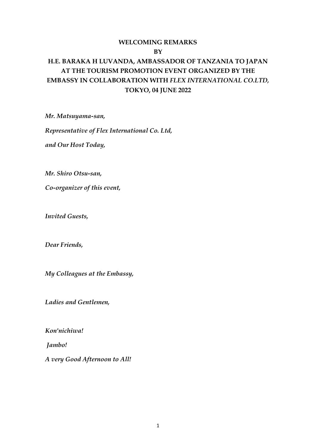## **WELCOMING REMARKS BY**

# **H.E. BARAKA H LUVANDA, AMBASSADOR OF TANZANIA TO JAPAN AT THE TOURISM PROMOTION EVENT ORGANIZED BY THE EMBASSY IN COLLABORATION WITH** *FLEX INTERNATIONAL CO.LTD,* **TOKYO, 04 JUNE 2022**

*Mr. Matsuyama-san,*

*Representative of Flex International Co. Ltd,*

*and Our Host Today,*

*Mr. Shiro Otsu-san,* 

*Co-organizer of this event,*

*Invited Guests,*

*Dear Friends,*

*My Colleagues at the Embassy,*

*Ladies and Gentlemen,*

*Kon'nichiwa!*

*Jambo!*

*A very Good Afternoon to All!*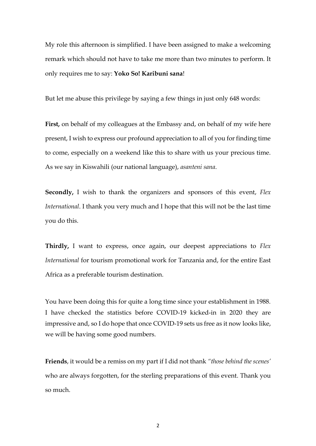My role this afternoon is simplified. I have been assigned to make a welcoming remark which should not have to take me more than two minutes to perform. It only requires me to say: **Yoko So! Karibuni sana**!

But let me abuse this privilege by saying a few things in just only 648 words:

**First,** on behalf of my colleagues at the Embassy and, on behalf of my wife here present, I wish to express our profound appreciation to all of you for finding time to come, especially on a weekend like this to share with us your precious time. As we say in Kiswahili (our national language), *asanteni sana*.

**Secondly,** I wish to thank the organizers and sponsors of this event, *Flex International*. I thank you very much and I hope that this will not be the last time you do this.

**Thirdly,** I want to express, once again, our deepest appreciations to *Flex International* for tourism promotional work for Tanzania and, for the entire East Africa as a preferable tourism destination.

You have been doing this for quite a long time since your establishment in 1988. I have checked the statistics before COVID-19 kicked-in in 2020 they are impressive and, so I do hope that once COVID-19 sets us free as it now looks like, we will be having some good numbers.

**Friends**, it would be a remiss on my part if I did not thank *"those behind the scenes'* who are always forgotten, for the sterling preparations of this event. Thank you so much.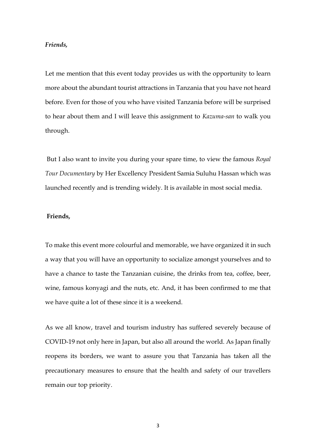#### *Friends,*

Let me mention that this event today provides us with the opportunity to learn more about the abundant tourist attractions in Tanzania that you have not heard before. Even for those of you who have visited Tanzania before will be surprised to hear about them and I will leave this assignment to *Kazuma-san* to walk you through.

But I also want to invite you during your spare time, to view the famous *Royal Tour Documentary* by Her Excellency President Samia Suluhu Hassan which was launched recently and is trending widely. It is available in most social media.

#### **Friends,**

To make this event more colourful and memorable, we have organized it in such a way that you will have an opportunity to socialize amongst yourselves and to have a chance to taste the Tanzanian cuisine, the drinks from tea, coffee, beer, wine, famous konyagi and the nuts, etc. And, it has been confirmed to me that we have quite a lot of these since it is a weekend.

As we all know, travel and tourism industry has suffered severely because of COVID-19 not only here in Japan, but also all around the world. As Japan finally reopens its borders, we want to assure you that Tanzania has taken all the precautionary measures to ensure that the health and safety of our travellers remain our top priority.